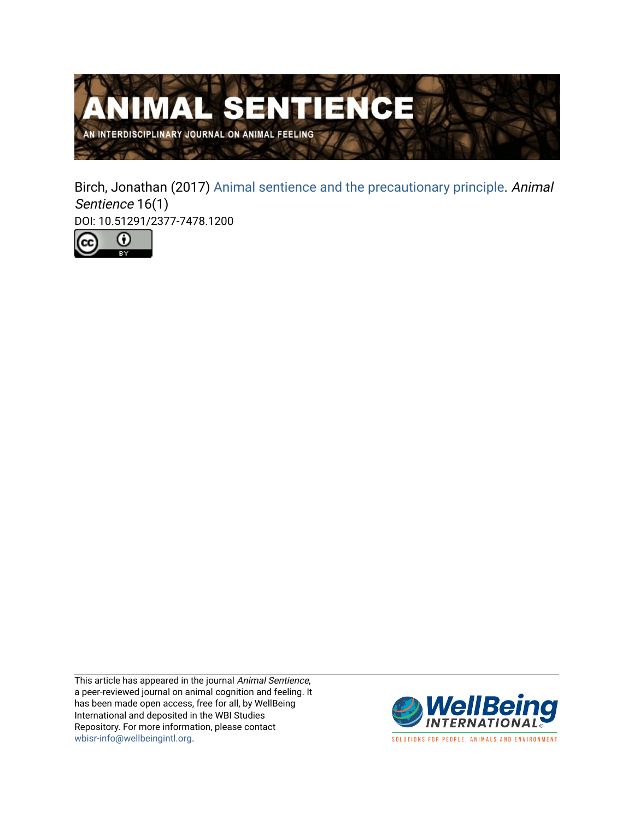

Birch, Jonathan (2017) [Animal sentience and the precautionary principle](https://www.wellbeingintlstudiesrepository.org/animsent/vol2/iss16/1). Animal Sentience 16(1) DOI: 10.51291/2377-7478.1200



This article has appeared in the journal Animal Sentience, a peer-reviewed journal on animal cognition and feeling. It has been made open access, free for all, by WellBeing International and deposited in the WBI Studies Repository. For more information, please contact [wbisr-info@wellbeingintl.org](mailto:wbisr-info@wellbeingintl.org).



SOLUTIONS FOR PEOPLE, ANIMALS AND ENVIRONMENT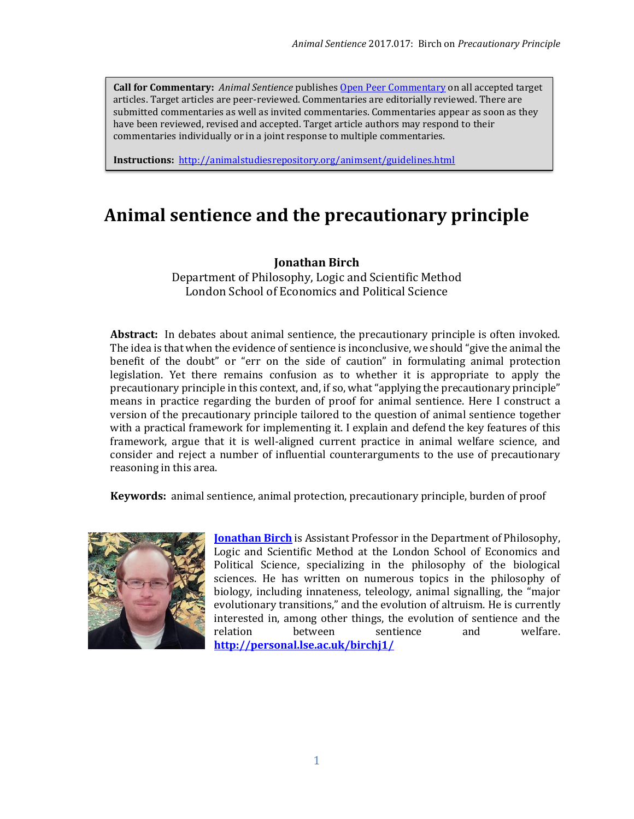**Call for Commentary:** *Animal Sentience* publishe[s Open Peer Commentary](http://users.ecs.soton.ac.uk/harnad/Temp/Kata/bbs.editorial.html) on all accepted target articles. Target articles are peer-reviewed. Commentaries are editorially reviewed. There are submitted commentaries as well as invited commentaries. Commentaries appear as soon as they have been reviewed, revised and accepted. Target article authors may respond to their commentaries individually or in a joint response to multiple commentaries.

**Instructions:** <http://animalstudiesrepository.org/animsent/guidelines.html>

# **Animal sentience and the precautionary principle**

#### **Jonathan Birch**

Department of Philosophy, Logic and Scientific Method London School of Economics and Political Science

**Abstract:** In debates about animal sentience, the precautionary principle is often invoked. The idea is that when the evidence of sentience is inconclusive, we should "give the animal the benefit of the doubt" or "err on the side of caution" in formulating animal protection legislation. Yet there remains confusion as to whether it is appropriate to apply the precautionary principle in this context, and, if so, what "applying the precautionary principle" means in practice regarding the burden of proof for animal sentience. Here I construct a version of the precautionary principle tailored to the question of animal sentience together with a practical framework for implementing it. I explain and defend the key features of this framework, argue that it is well-aligned current practice in animal welfare science, and consider and reject a number of influential counterarguments to the use of precautionary reasoning in this area.

**Keywords:** animal sentience, animal protection, precautionary principle, burden of proof



**[Jonathan Birch](mailto:j.birch2@lse.ac.uk)** is Assistant Professor in the Department of Philosophy, Logic and Scientific Method at the London School of Economics and Political Science, specializing in the philosophy of the biological sciences. He has written on numerous topics in the philosophy of biology, including innateness, teleology, animal signalling, the "major evolutionary transitions," and the evolution of altruism. He is currently interested in, among other things, the evolution of sentience and the relation between sentience and welfare. **<http://personal.lse.ac.uk/birchj1/>**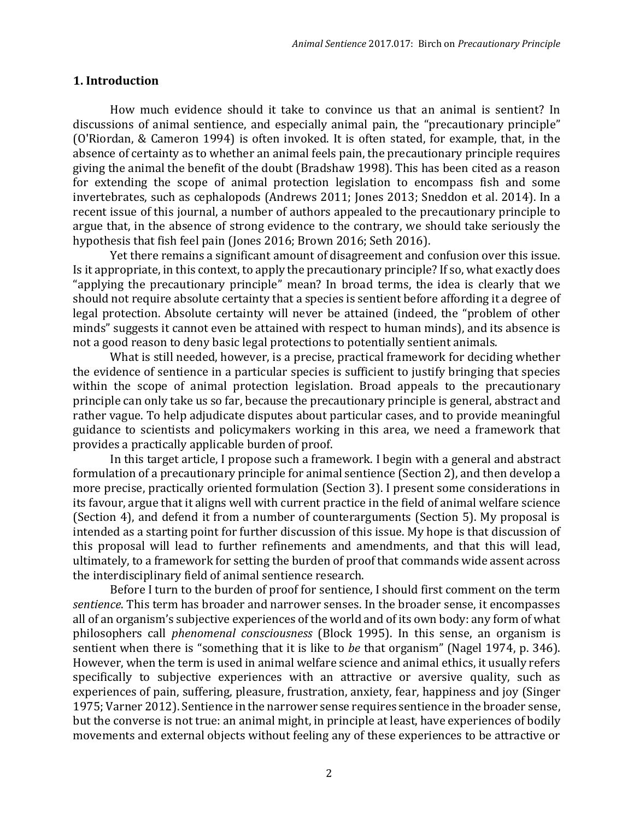#### **1. Introduction**

How much evidence should it take to convince us that an animal is sentient? In discussions of animal sentience, and especially animal pain, the "precautionary principle" (O'Riordan, & Cameron 1994) is often invoked. It is often stated, for example, that, in the absence of certainty as to whether an animal feels pain, the precautionary principle requires giving the animal the benefit of the doubt (Bradshaw 1998). This has been cited as a reason for extending the scope of animal protection legislation to encompass fish and some invertebrates, such as cephalopods (Andrews 2011; Jones 2013; Sneddon et al. 2014). In a recent issue of this journal, a number of authors appealed to the precautionary principle to argue that, in the absence of strong evidence to the contrary, we should take seriously the hypothesis that fish feel pain (Jones 2016; Brown 2016; Seth 2016).

Yet there remains a significant amount of disagreement and confusion over this issue. Is it appropriate, in this context, to apply the precautionary principle? If so, what exactly does "applying the precautionary principle" mean? In broad terms, the idea is clearly that we should not require absolute certainty that a species is sentient before affording it a degree of legal protection. Absolute certainty will never be attained (indeed, the "problem of other minds" suggests it cannot even be attained with respect to human minds), and its absence is not a good reason to deny basic legal protections to potentially sentient animals.

What is still needed, however, is a precise, practical framework for deciding whether the evidence of sentience in a particular species is sufficient to justify bringing that species within the scope of animal protection legislation. Broad appeals to the precautionary principle can only take us so far, because the precautionary principle is general, abstract and rather vague. To help adjudicate disputes about particular cases, and to provide meaningful guidance to scientists and policymakers working in this area, we need a framework that provides a practically applicable burden of proof.

In this target article, I propose such a framework. I begin with a general and abstract formulation of a precautionary principle for animal sentience (Section 2), and then develop a more precise, practically oriented formulation (Section 3). I present some considerations in its favour, argue that it aligns well with current practice in the field of animal welfare science (Section 4), and defend it from a number of counterarguments (Section 5). My proposal is intended as a starting point for further discussion of this issue. My hope is that discussion of this proposal will lead to further refinements and amendments, and that this will lead, ultimately, to a framework for setting the burden of proof that commands wide assent across the interdisciplinary field of animal sentience research.

Before I turn to the burden of proof for sentience, I should first comment on the term *sentience*. This term has broader and narrower senses. In the broader sense, it encompasses all of an organism's subjective experiences of the world and of its own body: any form of what philosophers call *phenomenal consciousness* (Block 1995). In this sense, an organism is sentient when there is "something that it is like to *be* that organism" (Nagel 1974, p. 346). However, when the term is used in animal welfare science and animal ethics, it usually refers specifically to subjective experiences with an attractive or aversive quality, such as experiences of pain, suffering, pleasure, frustration, anxiety, fear, happiness and joy (Singer 1975; Varner 2012). Sentience in the narrower sense requires sentience in the broader sense, but the converse is not true: an animal might, in principle at least, have experiences of bodily movements and external objects without feeling any of these experiences to be attractive or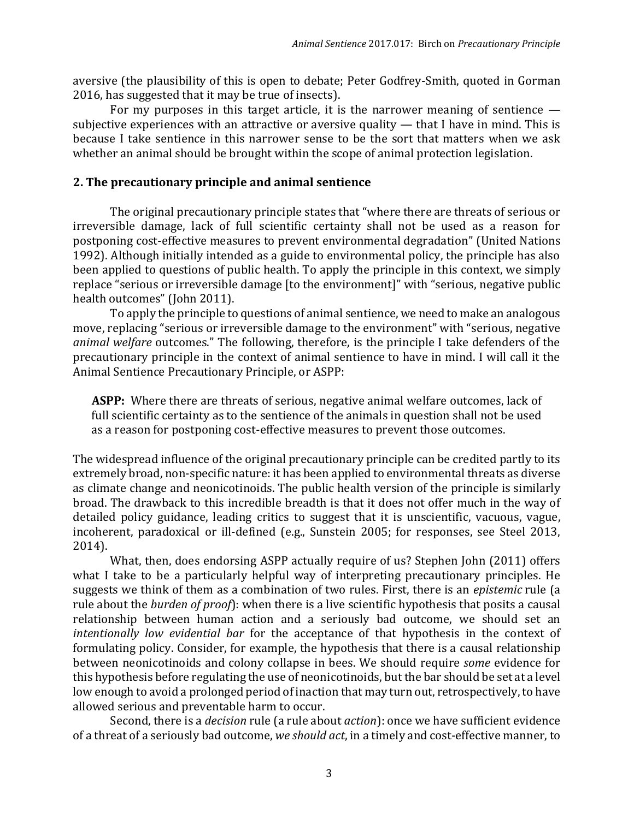aversive (the plausibility of this is open to debate; Peter Godfrey-Smith, quoted in Gorman 2016, has suggested that it may be true of insects).

For my purposes in this target article, it is the narrower meaning of sentience subjective experiences with an attractive or aversive quality — that I have in mind. This is because I take sentience in this narrower sense to be the sort that matters when we ask whether an animal should be brought within the scope of animal protection legislation.

#### **2. The precautionary principle and animal sentience**

The original precautionary principle states that "where there are threats of serious or irreversible damage, lack of full scientific certainty shall not be used as a reason for postponing cost-effective measures to prevent environmental degradation" (United Nations 1992). Although initially intended as a guide to environmental policy, the principle has also been applied to questions of public health. To apply the principle in this context, we simply replace "serious or irreversible damage [to the environment]" with "serious, negative public health outcomes" (John 2011).

To apply the principle to questions of animal sentience, we need to make an analogous move, replacing "serious or irreversible damage to the environment" with "serious, negative *animal welfare* outcomes." The following, therefore, is the principle I take defenders of the precautionary principle in the context of animal sentience to have in mind. I will call it the Animal Sentience Precautionary Principle, or ASPP:

**ASPP:** Where there are threats of serious, negative animal welfare outcomes, lack of full scientific certainty as to the sentience of the animals in question shall not be used as a reason for postponing cost-effective measures to prevent those outcomes.

The widespread influence of the original precautionary principle can be credited partly to its extremely broad, non-specific nature: it has been applied to environmental threats as diverse as climate change and neonicotinoids. The public health version of the principle is similarly broad. The drawback to this incredible breadth is that it does not offer much in the way of detailed policy guidance, leading critics to suggest that it is unscientific, vacuous, vague, incoherent, paradoxical or ill-defined (e.g., Sunstein 2005; for responses, see Steel 2013, 2014).

What, then, does endorsing ASPP actually require of us? Stephen John (2011) offers what I take to be a particularly helpful way of interpreting precautionary principles. He suggests we think of them as a combination of two rules. First, there is an *epistemic* rule (a rule about the *burden of proof*): when there is a live scientific hypothesis that posits a causal relationship between human action and a seriously bad outcome, we should set an *intentionally low evidential bar* for the acceptance of that hypothesis in the context of formulating policy. Consider, for example, the hypothesis that there is a causal relationship between neonicotinoids and colony collapse in bees. We should require *some* evidence for this hypothesis before regulating the use of neonicotinoids, but the bar should be set at a level low enough to avoid a prolonged period of inaction that may turn out, retrospectively, to have allowed serious and preventable harm to occur.

Second, there is a *decision* rule (a rule about *action*): once we have sufficient evidence of a threat of a seriously bad outcome, *we should act*, in a timely and cost-effective manner, to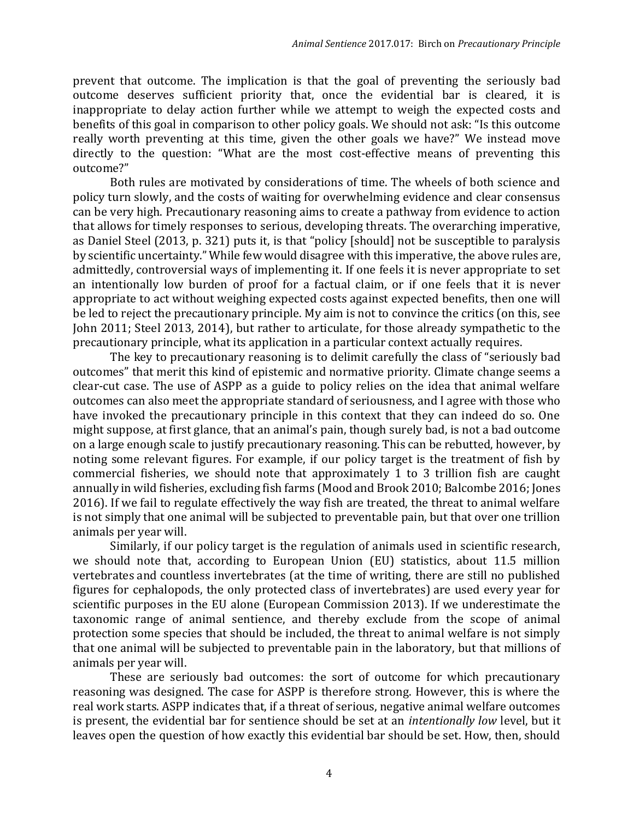prevent that outcome. The implication is that the goal of preventing the seriously bad outcome deserves sufficient priority that, once the evidential bar is cleared, it is inappropriate to delay action further while we attempt to weigh the expected costs and benefits of this goal in comparison to other policy goals. We should not ask: "Is this outcome really worth preventing at this time, given the other goals we have?" We instead move directly to the question: "What are the most cost-effective means of preventing this outcome?"

Both rules are motivated by considerations of time. The wheels of both science and policy turn slowly, and the costs of waiting for overwhelming evidence and clear consensus can be very high. Precautionary reasoning aims to create a pathway from evidence to action that allows for timely responses to serious, developing threats. The overarching imperative, as Daniel Steel (2013, p. 321) puts it, is that "policy [should] not be susceptible to paralysis by scientific uncertainty." While few would disagree with this imperative, the above rules are, admittedly, controversial ways of implementing it. If one feels it is never appropriate to set an intentionally low burden of proof for a factual claim, or if one feels that it is never appropriate to act without weighing expected costs against expected benefits, then one will be led to reject the precautionary principle. My aim is not to convince the critics (on this, see John 2011; Steel 2013, 2014), but rather to articulate, for those already sympathetic to the precautionary principle, what its application in a particular context actually requires.

The key to precautionary reasoning is to delimit carefully the class of "seriously bad outcomes" that merit this kind of epistemic and normative priority. Climate change seems a clear-cut case. The use of ASPP as a guide to policy relies on the idea that animal welfare outcomes can also meet the appropriate standard of seriousness, and I agree with those who have invoked the precautionary principle in this context that they can indeed do so. One might suppose, at first glance, that an animal's pain, though surely bad, is not a bad outcome on a large enough scale to justify precautionary reasoning. This can be rebutted, however, by noting some relevant figures. For example, if our policy target is the treatment of fish by commercial fisheries, we should note that approximately 1 to 3 trillion fish are caught annually in wild fisheries, excluding fish farms (Mood and Brook 2010; Balcombe 2016; Jones 2016). If we fail to regulate effectively the way fish are treated, the threat to animal welfare is not simply that one animal will be subjected to preventable pain, but that over one trillion animals per year will.

Similarly, if our policy target is the regulation of animals used in scientific research, we should note that, according to European Union (EU) statistics, about 11.5 million vertebrates and countless invertebrates (at the time of writing, there are still no published figures for cephalopods, the only protected class of invertebrates) are used every year for scientific purposes in the EU alone (European Commission 2013). If we underestimate the taxonomic range of animal sentience, and thereby exclude from the scope of animal protection some species that should be included, the threat to animal welfare is not simply that one animal will be subjected to preventable pain in the laboratory, but that millions of animals per year will.

These are seriously bad outcomes: the sort of outcome for which precautionary reasoning was designed. The case for ASPP is therefore strong. However, this is where the real work starts. ASPP indicates that, if a threat of serious, negative animal welfare outcomes is present, the evidential bar for sentience should be set at an *intentionally low* level, but it leaves open the question of how exactly this evidential bar should be set. How, then, should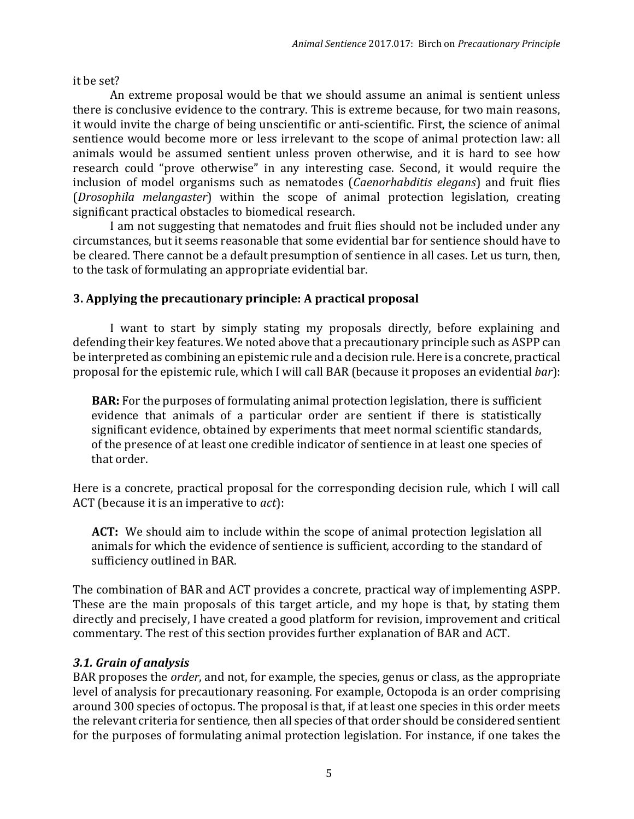it be set?

An extreme proposal would be that we should assume an animal is sentient unless there is conclusive evidence to the contrary. This is extreme because, for two main reasons, it would invite the charge of being unscientific or anti-scientific. First, the science of animal sentience would become more or less irrelevant to the scope of animal protection law: all animals would be assumed sentient unless proven otherwise, and it is hard to see how research could "prove otherwise" in any interesting case. Second, it would require the inclusion of model organisms such as nematodes (*Caenorhabditis elegans*) and fruit flies (*Drosophila melangaster*) within the scope of animal protection legislation, creating significant practical obstacles to biomedical research.

I am not suggesting that nematodes and fruit flies should not be included under any circumstances, but it seems reasonable that some evidential bar for sentience should have to be cleared. There cannot be a default presumption of sentience in all cases. Let us turn, then, to the task of formulating an appropriate evidential bar.

# **3. Applying the precautionary principle: A practical proposal**

I want to start by simply stating my proposals directly, before explaining and defending their key features. We noted above that a precautionary principle such as ASPP can be interpreted as combining an epistemic rule and a decision rule. Here is a concrete, practical proposal for the epistemic rule, which I will call BAR (because it proposes an evidential *bar*):

**BAR:** For the purposes of formulating animal protection legislation, there is sufficient evidence that animals of a particular order are sentient if there is statistically significant evidence, obtained by experiments that meet normal scientific standards, of the presence of at least one credible indicator of sentience in at least one species of that order.

Here is a concrete, practical proposal for the corresponding decision rule, which I will call ACT (because it is an imperative to *act*):

**ACT:** We should aim to include within the scope of animal protection legislation all animals for which the evidence of sentience is sufficient, according to the standard of sufficiency outlined in BAR.

The combination of BAR and ACT provides a concrete, practical way of implementing ASPP. These are the main proposals of this target article, and my hope is that, by stating them directly and precisely, I have created a good platform for revision, improvement and critical commentary. The rest of this section provides further explanation of BAR and ACT.

# *3.1. Grain of analysis*

BAR proposes the *order*, and not, for example, the species, genus or class, as the appropriate level of analysis for precautionary reasoning. For example, Octopoda is an order comprising around 300 species of octopus. The proposal is that, if at least one species in this order meets the relevant criteria for sentience, then all species of that order should be considered sentient for the purposes of formulating animal protection legislation. For instance, if one takes the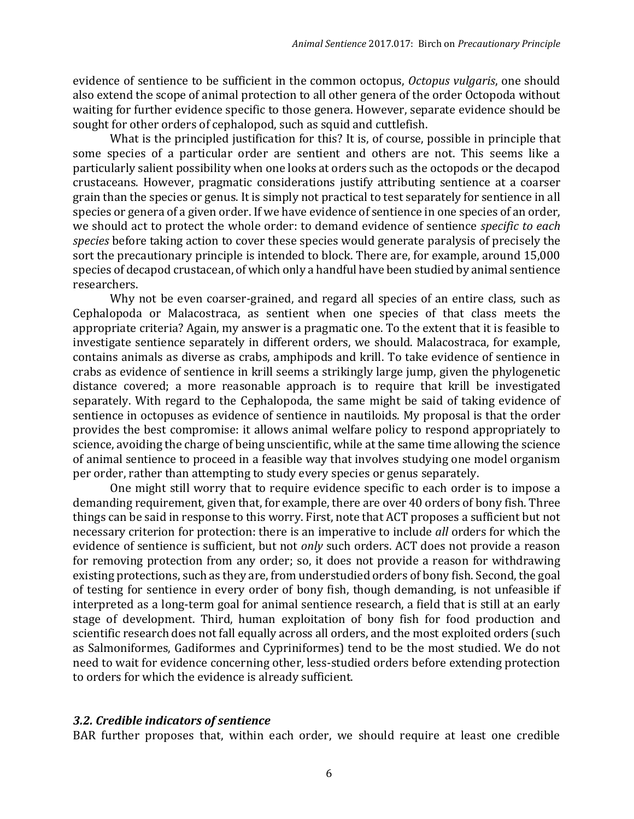evidence of sentience to be sufficient in the common octopus, *Octopus vulgaris*, one should also extend the scope of animal protection to all other genera of the order Octopoda without waiting for further evidence specific to those genera. However, separate evidence should be sought for other orders of cephalopod, such as squid and cuttlefish.

What is the principled justification for this? It is, of course, possible in principle that some species of a particular order are sentient and others are not. This seems like a particularly salient possibility when one looks at orders such as the octopods or the decapod crustaceans. However, pragmatic considerations justify attributing sentience at a coarser grain than the species or genus. It is simply not practical to test separately for sentience in all species or genera of a given order. If we have evidence of sentience in one species of an order, we should act to protect the whole order: to demand evidence of sentience *specific to each species* before taking action to cover these species would generate paralysis of precisely the sort the precautionary principle is intended to block. There are, for example, around 15,000 species of decapod crustacean, of which only a handful have been studied by animal sentience researchers.

Why not be even coarser-grained, and regard all species of an entire class, such as Cephalopoda or Malacostraca, as sentient when one species of that class meets the appropriate criteria? Again, my answer is a pragmatic one. To the extent that it is feasible to investigate sentience separately in different orders, we should. Malacostraca, for example, contains animals as diverse as crabs, amphipods and krill. To take evidence of sentience in crabs as evidence of sentience in krill seems a strikingly large jump, given the phylogenetic distance covered; a more reasonable approach is to require that krill be investigated separately. With regard to the Cephalopoda, the same might be said of taking evidence of sentience in octopuses as evidence of sentience in nautiloids. My proposal is that the order provides the best compromise: it allows animal welfare policy to respond appropriately to science, avoiding the charge of being unscientific, while at the same time allowing the science of animal sentience to proceed in a feasible way that involves studying one model organism per order, rather than attempting to study every species or genus separately.

One might still worry that to require evidence specific to each order is to impose a demanding requirement, given that, for example, there are over 40 orders of bony fish. Three things can be said in response to this worry. First, note that ACT proposes a sufficient but not necessary criterion for protection: there is an imperative to include *all* orders for which the evidence of sentience is sufficient, but not *only* such orders. ACT does not provide a reason for removing protection from any order; so, it does not provide a reason for withdrawing existing protections, such as they are, from understudied orders of bony fish. Second, the goal of testing for sentience in every order of bony fish, though demanding, is not unfeasible if interpreted as a long-term goal for animal sentience research, a field that is still at an early stage of development. Third, human exploitation of bony fish for food production and scientific research does not fall equally across all orders, and the most exploited orders (such as Salmoniformes, Gadiformes and Cypriniformes) tend to be the most studied. We do not need to wait for evidence concerning other, less-studied orders before extending protection to orders for which the evidence is already sufficient.

## *3.2. Credible indicators of sentience*

BAR further proposes that, within each order, we should require at least one credible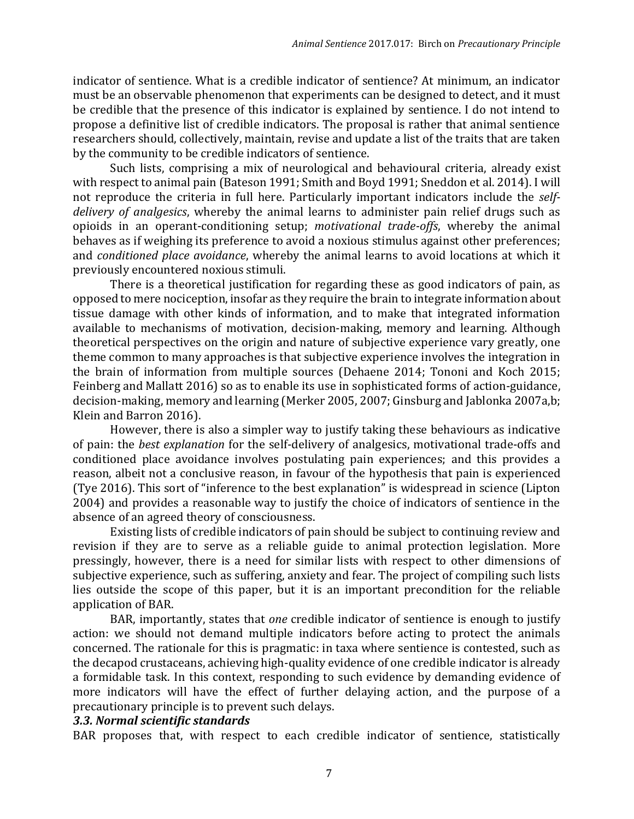indicator of sentience. What is a credible indicator of sentience? At minimum, an indicator must be an observable phenomenon that experiments can be designed to detect, and it must be credible that the presence of this indicator is explained by sentience. I do not intend to propose a definitive list of credible indicators. The proposal is rather that animal sentience researchers should, collectively, maintain, revise and update a list of the traits that are taken by the community to be credible indicators of sentience.

Such lists, comprising a mix of neurological and behavioural criteria, already exist with respect to animal pain (Bateson 1991; Smith and Boyd 1991; Sneddon et al. 2014). I will not reproduce the criteria in full here. Particularly important indicators include the *selfdelivery of analgesics*, whereby the animal learns to administer pain relief drugs such as opioids in an operant-conditioning setup; *motivational trade-offs*, whereby the animal behaves as if weighing its preference to avoid a noxious stimulus against other preferences; and *conditioned place avoidance*, whereby the animal learns to avoid locations at which it previously encountered noxious stimuli.

There is a theoretical justification for regarding these as good indicators of pain, as opposed to mere nociception, insofar as they require the brain to integrate information about tissue damage with other kinds of information, and to make that integrated information available to mechanisms of motivation, decision-making, memory and learning. Although theoretical perspectives on the origin and nature of subjective experience vary greatly, one theme common to many approaches is that subjective experience involves the integration in the brain of information from multiple sources (Dehaene 2014; Tononi and Koch 2015; Feinberg and Mallatt 2016) so as to enable its use in sophisticated forms of action-guidance, decision-making, memory and learning (Merker 2005, 2007; Ginsburg and Jablonka 2007a,b; Klein and Barron 2016).

However, there is also a simpler way to justify taking these behaviours as indicative of pain: the *best explanation* for the self-delivery of analgesics, motivational trade-offs and conditioned place avoidance involves postulating pain experiences; and this provides a reason, albeit not a conclusive reason, in favour of the hypothesis that pain is experienced (Tye 2016). This sort of "inference to the best explanation" is widespread in science (Lipton 2004) and provides a reasonable way to justify the choice of indicators of sentience in the absence of an agreed theory of consciousness.

Existing lists of credible indicators of pain should be subject to continuing review and revision if they are to serve as a reliable guide to animal protection legislation. More pressingly, however, there is a need for similar lists with respect to other dimensions of subjective experience, such as suffering, anxiety and fear. The project of compiling such lists lies outside the scope of this paper, but it is an important precondition for the reliable application of BAR.

BAR, importantly, states that *one* credible indicator of sentience is enough to justify action: we should not demand multiple indicators before acting to protect the animals concerned. The rationale for this is pragmatic: in taxa where sentience is contested, such as the decapod crustaceans, achieving high-quality evidence of one credible indicator is already a formidable task. In this context, responding to such evidence by demanding evidence of more indicators will have the effect of further delaying action, and the purpose of a precautionary principle is to prevent such delays.

#### *3.3. Normal scientific standards*

BAR proposes that, with respect to each credible indicator of sentience, statistically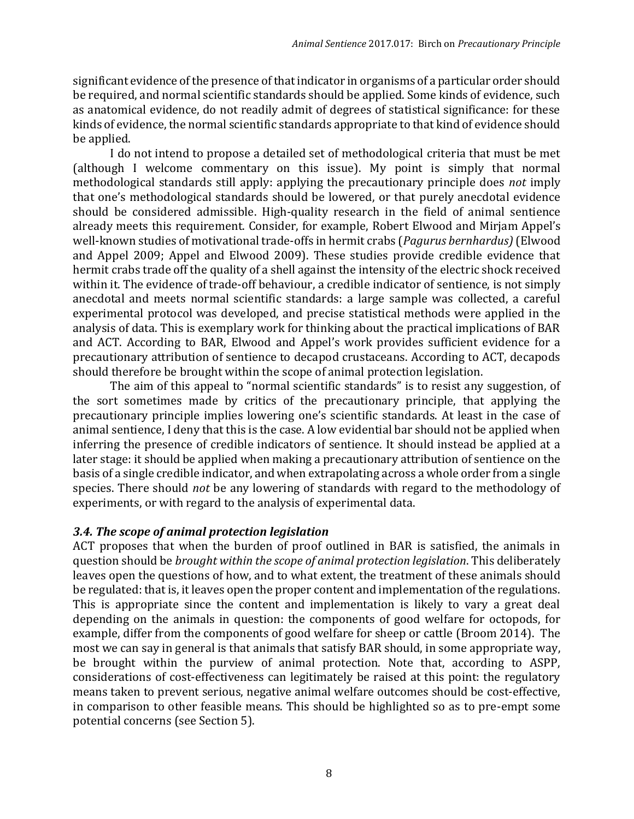significant evidence of the presence of that indicator in organisms of a particular order should be required, and normal scientific standards should be applied. Some kinds of evidence, such as anatomical evidence, do not readily admit of degrees of statistical significance: for these kinds of evidence, the normal scientific standards appropriate to that kind of evidence should be applied.

I do not intend to propose a detailed set of methodological criteria that must be met (although I welcome commentary on this issue). My point is simply that normal methodological standards still apply: applying the precautionary principle does *not* imply that one's methodological standards should be lowered, or that purely anecdotal evidence should be considered admissible. High-quality research in the field of animal sentience already meets this requirement. Consider, for example, Robert Elwood and Mirjam Appel's well-known studies of motivational trade-offs in hermit crabs (*Pagurus bernhardus)* (Elwood and Appel 2009; Appel and Elwood 2009). These studies provide credible evidence that hermit crabs trade off the quality of a shell against the intensity of the electric shock received within it. The evidence of trade-off behaviour, a credible indicator of sentience, is not simply anecdotal and meets normal scientific standards: a large sample was collected, a careful experimental protocol was developed, and precise statistical methods were applied in the analysis of data. This is exemplary work for thinking about the practical implications of BAR and ACT. According to BAR, Elwood and Appel's work provides sufficient evidence for a precautionary attribution of sentience to decapod crustaceans. According to ACT, decapods should therefore be brought within the scope of animal protection legislation.

The aim of this appeal to "normal scientific standards" is to resist any suggestion, of the sort sometimes made by critics of the precautionary principle, that applying the precautionary principle implies lowering one's scientific standards. At least in the case of animal sentience, I deny that this is the case. A low evidential bar should not be applied when inferring the presence of credible indicators of sentience. It should instead be applied at a later stage: it should be applied when making a precautionary attribution of sentience on the basis of a single credible indicator, and when extrapolating across a whole order from a single species. There should *not* be any lowering of standards with regard to the methodology of experiments, or with regard to the analysis of experimental data.

#### *3.4. The scope of animal protection legislation*

ACT proposes that when the burden of proof outlined in BAR is satisfied, the animals in question should be *brought within the scope of animal protection legislation*. This deliberately leaves open the questions of how, and to what extent, the treatment of these animals should be regulated: that is, it leaves open the proper content and implementation of the regulations. This is appropriate since the content and implementation is likely to vary a great deal depending on the animals in question: the components of good welfare for octopods, for example, differ from the components of good welfare for sheep or cattle (Broom 2014). The most we can say in general is that animals that satisfy BAR should, in some appropriate way, be brought within the purview of animal protection. Note that, according to ASPP, considerations of cost-effectiveness can legitimately be raised at this point: the regulatory means taken to prevent serious, negative animal welfare outcomes should be cost-effective, in comparison to other feasible means. This should be highlighted so as to pre-empt some potential concerns (see Section 5).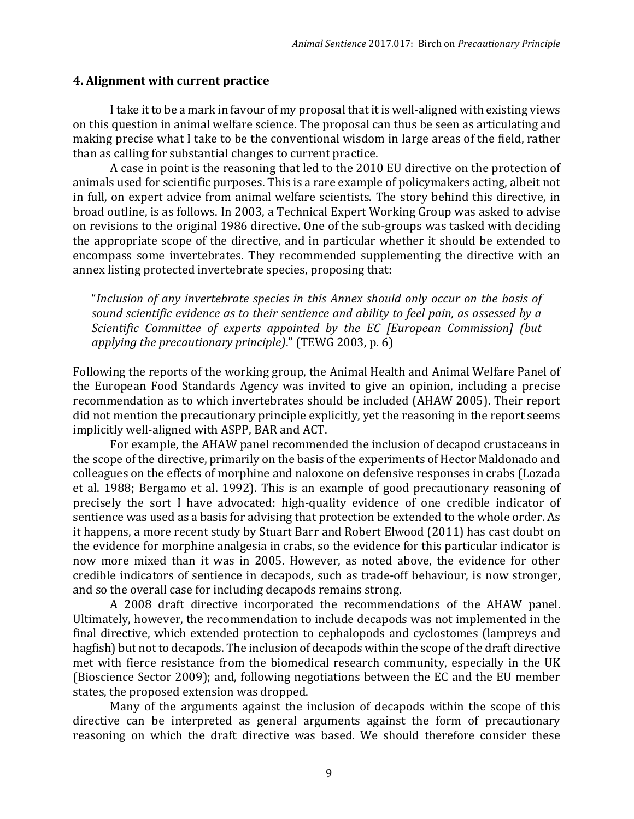#### **4. Alignment with current practice**

I take it to be a mark in favour of my proposal that it is well-aligned with existing views on this question in animal welfare science. The proposal can thus be seen as articulating and making precise what I take to be the conventional wisdom in large areas of the field, rather than as calling for substantial changes to current practice.

A case in point is the reasoning that led to the 2010 EU directive on the protection of animals used for scientific purposes. This is a rare example of policymakers acting, albeit not in full, on expert advice from animal welfare scientists. The story behind this directive, in broad outline, is as follows. In 2003, a Technical Expert Working Group was asked to advise on revisions to the original 1986 directive. One of the sub-groups was tasked with deciding the appropriate scope of the directive, and in particular whether it should be extended to encompass some invertebrates. They recommended supplementing the directive with an annex listing protected invertebrate species, proposing that:

"*Inclusion of any invertebrate species in this Annex should only occur on the basis of sound scientific evidence as to their sentience and ability to feel pain, as assessed by a Scientific Committee of experts appointed by the EC [European Commission] (but applying the precautionary principle)*." (TEWG 2003, p. 6)

Following the reports of the working group, the Animal Health and Animal Welfare Panel of the European Food Standards Agency was invited to give an opinion, including a precise recommendation as to which invertebrates should be included (AHAW 2005). Their report did not mention the precautionary principle explicitly, yet the reasoning in the report seems implicitly well-aligned with ASPP, BAR and ACT.

For example, the AHAW panel recommended the inclusion of decapod crustaceans in the scope of the directive, primarily on the basis of the experiments of Hector Maldonado and colleagues on the effects of morphine and naloxone on defensive responses in crabs (Lozada et al. 1988; Bergamo et al. 1992). This is an example of good precautionary reasoning of precisely the sort I have advocated: high-quality evidence of one credible indicator of sentience was used as a basis for advising that protection be extended to the whole order. As it happens, a more recent study by Stuart Barr and Robert Elwood (2011) has cast doubt on the evidence for morphine analgesia in crabs, so the evidence for this particular indicator is now more mixed than it was in 2005. However, as noted above, the evidence for other credible indicators of sentience in decapods, such as trade-off behaviour, is now stronger, and so the overall case for including decapods remains strong.

A 2008 draft directive incorporated the recommendations of the AHAW panel. Ultimately, however, the recommendation to include decapods was not implemented in the final directive, which extended protection to cephalopods and cyclostomes (lampreys and hagfish) but not to decapods. The inclusion of decapods within the scope of the draft directive met with fierce resistance from the biomedical research community, especially in the UK (Bioscience Sector 2009); and, following negotiations between the EC and the EU member states, the proposed extension was dropped.

Many of the arguments against the inclusion of decapods within the scope of this directive can be interpreted as general arguments against the form of precautionary reasoning on which the draft directive was based. We should therefore consider these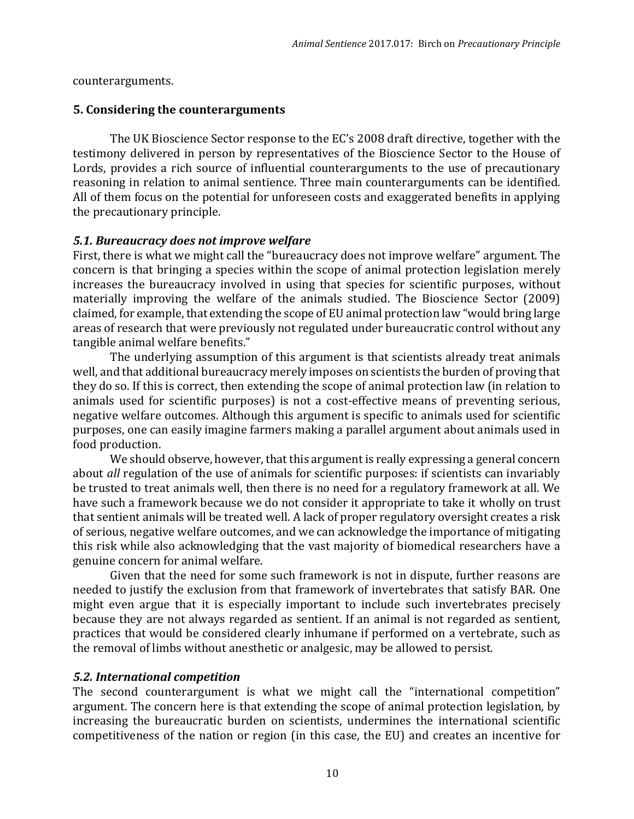counterarguments.

#### **5. Considering the counterarguments**

The UK Bioscience Sector response to the EC's 2008 draft directive, together with the testimony delivered in person by representatives of the Bioscience Sector to the House of Lords, provides a rich source of influential counterarguments to the use of precautionary reasoning in relation to animal sentience. Three main counterarguments can be identified. All of them focus on the potential for unforeseen costs and exaggerated benefits in applying the precautionary principle.

#### *5.1. Bureaucracy does not improve welfare*

First, there is what we might call the "bureaucracy does not improve welfare" argument. The concern is that bringing a species within the scope of animal protection legislation merely increases the bureaucracy involved in using that species for scientific purposes, without materially improving the welfare of the animals studied. The Bioscience Sector (2009) claimed, for example, that extending the scope of EU animal protection law "would bring large areas of research that were previously not regulated under bureaucratic control without any tangible animal welfare benefits."

The underlying assumption of this argument is that scientists already treat animals well, and that additional bureaucracy merely imposes on scientists the burden of proving that they do so. If this is correct, then extending the scope of animal protection law (in relation to animals used for scientific purposes) is not a cost-effective means of preventing serious, negative welfare outcomes. Although this argument is specific to animals used for scientific purposes, one can easily imagine farmers making a parallel argument about animals used in food production.

We should observe, however, that this argument is really expressing a general concern about *all* regulation of the use of animals for scientific purposes: if scientists can invariably be trusted to treat animals well, then there is no need for a regulatory framework at all. We have such a framework because we do not consider it appropriate to take it wholly on trust that sentient animals will be treated well. A lack of proper regulatory oversight creates a risk of serious, negative welfare outcomes, and we can acknowledge the importance of mitigating this risk while also acknowledging that the vast majority of biomedical researchers have a genuine concern for animal welfare.

Given that the need for some such framework is not in dispute, further reasons are needed to justify the exclusion from that framework of invertebrates that satisfy BAR. One might even argue that it is especially important to include such invertebrates precisely because they are not always regarded as sentient. If an animal is not regarded as sentient, practices that would be considered clearly inhumane if performed on a vertebrate, such as the removal of limbs without anesthetic or analgesic, may be allowed to persist.

#### *5.2. International competition*

The second counterargument is what we might call the "international competition" argument. The concern here is that extending the scope of animal protection legislation, by increasing the bureaucratic burden on scientists, undermines the international scientific competitiveness of the nation or region (in this case, the EU) and creates an incentive for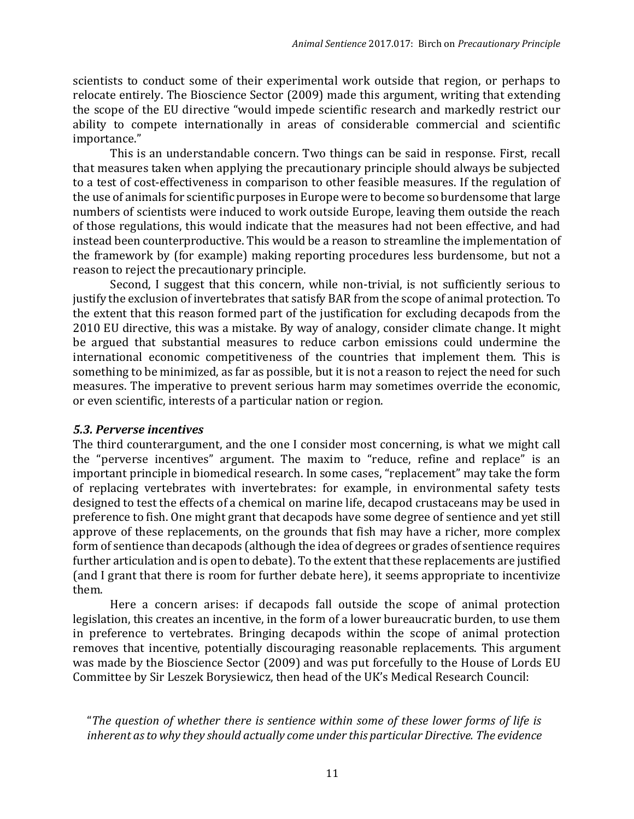scientists to conduct some of their experimental work outside that region, or perhaps to relocate entirely. The Bioscience Sector (2009) made this argument, writing that extending the scope of the EU directive "would impede scientific research and markedly restrict our ability to compete internationally in areas of considerable commercial and scientific importance."

This is an understandable concern. Two things can be said in response. First, recall that measures taken when applying the precautionary principle should always be subjected to a test of cost-effectiveness in comparison to other feasible measures. If the regulation of the use of animals for scientific purposes in Europe were to become so burdensome that large numbers of scientists were induced to work outside Europe, leaving them outside the reach of those regulations, this would indicate that the measures had not been effective, and had instead been counterproductive. This would be a reason to streamline the implementation of the framework by (for example) making reporting procedures less burdensome, but not a reason to reject the precautionary principle.

Second, I suggest that this concern, while non-trivial, is not sufficiently serious to justify the exclusion of invertebrates that satisfy BAR from the scope of animal protection. To the extent that this reason formed part of the justification for excluding decapods from the 2010 EU directive, this was a mistake. By way of analogy, consider climate change. It might be argued that substantial measures to reduce carbon emissions could undermine the international economic competitiveness of the countries that implement them. This is something to be minimized, as far as possible, but it is not a reason to reject the need for such measures. The imperative to prevent serious harm may sometimes override the economic, or even scientific, interests of a particular nation or region.

#### *5.3. Perverse incentives*

The third counterargument, and the one I consider most concerning, is what we might call the "perverse incentives" argument. The maxim to "reduce, refine and replace" is an important principle in biomedical research. In some cases, "replacement" may take the form of replacing vertebrates with invertebrates: for example, in environmental safety tests designed to test the effects of a chemical on marine life, decapod crustaceans may be used in preference to fish. One might grant that decapods have some degree of sentience and yet still approve of these replacements, on the grounds that fish may have a richer, more complex form of sentience than decapods (although the idea of degrees or grades of sentience requires further articulation and is open to debate). To the extent that these replacements are justified (and I grant that there is room for further debate here), it seems appropriate to incentivize them.

Here a concern arises: if decapods fall outside the scope of animal protection legislation, this creates an incentive, in the form of a lower bureaucratic burden, to use them in preference to vertebrates. Bringing decapods within the scope of animal protection removes that incentive, potentially discouraging reasonable replacements. This argument was made by the Bioscience Sector (2009) and was put forcefully to the House of Lords EU Committee by Sir Leszek Borysiewicz, then head of the UK's Medical Research Council:

"*The question of whether there is sentience within some of these lower forms of life is inherent as to why they should actually come under this particular Directive. The evidence*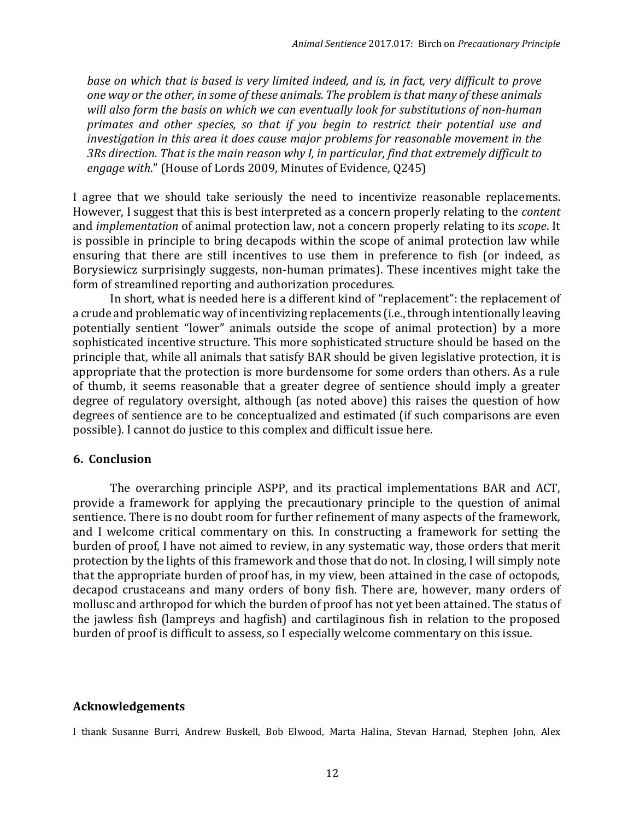*base on which that is based is very limited indeed, and is, in fact, very difficult to prove one way or the other, in some of these animals. The problem is that many of these animals will also form the basis on which we can eventually look for substitutions of non-human primates and other species, so that if you begin to restrict their potential use and investigation in this area it does cause major problems for reasonable movement in the 3Rs direction. That is the main reason why I, in particular, find that extremely difficult to engage with*." (House of Lords 2009, Minutes of Evidence, Q245)

I agree that we should take seriously the need to incentivize reasonable replacements. However, I suggest that this is best interpreted as a concern properly relating to the *content* and *implementation* of animal protection law, not a concern properly relating to its *scope*. It is possible in principle to bring decapods within the scope of animal protection law while ensuring that there are still incentives to use them in preference to fish (or indeed, as Borysiewicz surprisingly suggests, non-human primates). These incentives might take the form of streamlined reporting and authorization procedures.

In short, what is needed here is a different kind of "replacement": the replacement of a crude and problematic way of incentivizing replacements (i.e., through intentionally leaving potentially sentient "lower" animals outside the scope of animal protection) by a more sophisticated incentive structure. This more sophisticated structure should be based on the principle that, while all animals that satisfy BAR should be given legislative protection, it is appropriate that the protection is more burdensome for some orders than others. As a rule of thumb, it seems reasonable that a greater degree of sentience should imply a greater degree of regulatory oversight, although (as noted above) this raises the question of how degrees of sentience are to be conceptualized and estimated (if such comparisons are even possible). I cannot do justice to this complex and difficult issue here.

#### **6. Conclusion**

The overarching principle ASPP, and its practical implementations BAR and ACT, provide a framework for applying the precautionary principle to the question of animal sentience. There is no doubt room for further refinement of many aspects of the framework, and I welcome critical commentary on this. In constructing a framework for setting the burden of proof, I have not aimed to review, in any systematic way, those orders that merit protection by the lights of this framework and those that do not. In closing, I will simply note that the appropriate burden of proof has, in my view, been attained in the case of octopods, decapod crustaceans and many orders of bony fish. There are, however, many orders of mollusc and arthropod for which the burden of proof has not yet been attained. The status of the jawless fish (lampreys and hagfish) and cartilaginous fish in relation to the proposed burden of proof is difficult to assess, so I especially welcome commentary on this issue.

#### **Acknowledgements**

I thank Susanne Burri, Andrew Buskell, Bob Elwood, Marta Halina, Stevan Harnad, Stephen John, Alex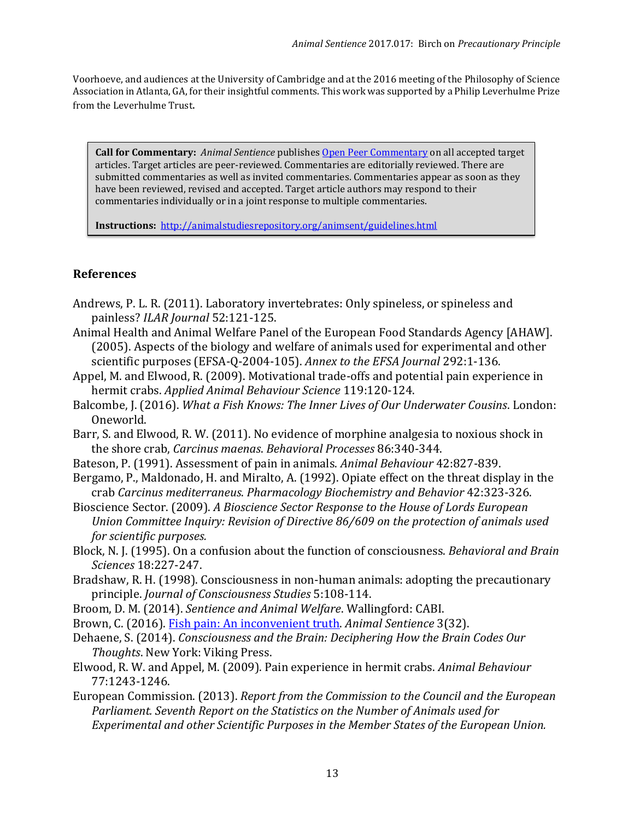Voorhoeve, and audiences at the University of Cambridge and at the 2016 meeting of the Philosophy of Science Association in Atlanta, GA, for their insightful comments. This work was supported by a Philip Leverhulme Prize from the Leverhulme Trust.

**Call for Commentary:** *Animal Sentience* publishe[s Open Peer Commentary](http://users.ecs.soton.ac.uk/harnad/Temp/Kata/bbs.editorial.html) on all accepted target articles. Target articles are peer-reviewed. Commentaries are editorially reviewed. There are submitted commentaries as well as invited commentaries. Commentaries appear as soon as they have been reviewed, revised and accepted. Target article authors may respond to their commentaries individually or in a joint response to multiple commentaries.

**Instructions:**<http://animalstudiesrepository.org/animsent/guidelines.html>

#### **References**

- Andrews, P. L. R. (2011). Laboratory invertebrates: Only spineless, or spineless and painless? *ILAR Journal* 52:121-125.
- Animal Health and Animal Welfare Panel of the European Food Standards Agency [AHAW]. (2005). Aspects of the biology and welfare of animals used for experimental and other scientific purposes (EFSA-Q-2004-105). *Annex to the EFSA Journal* 292:1-136.
- Appel, M. and Elwood, R. (2009). Motivational trade-offs and potential pain experience in hermit crabs. *Applied Animal Behaviour Science* 119:120-124.
- Balcombe, J. (2016). *What a Fish Knows: The Inner Lives of Our Underwater Cousins*. London: Oneworld.
- Barr, S. and Elwood, R. W. (2011). No evidence of morphine analgesia to noxious shock in the shore crab, *Carcinus maenas*. *Behavioral Processes* 86:340-344.
- Bateson, P. (1991). Assessment of pain in animals. *Animal Behaviour* 42:827-839.
- Bergamo, P., Maldonado, H. and Miralto, A. (1992). Opiate effect on the threat display in the crab *Carcinus mediterraneus*. *Pharmacology Biochemistry and Behavior* 42:323-326.
- Bioscience Sector. (2009). *A Bioscience Sector Response to the House of Lords European Union Committee Inquiry: Revision of Directive 86/609 on the protection of animals used for scientific purposes.*
- Block, N. J. (1995). On a confusion about the function of consciousness. *Behavioral and Brain Sciences* 18:227-247.
- Bradshaw, R. H. (1998). Consciousness in non-human animals: adopting the precautionary principle. *Journal of Consciousness Studies* 5:108-114.
- Broom, D. M. (2014). *Sentience and Animal Welfare*. Wallingford: CABI.
- Brown, C. (2016). [Fish pain: An inconvenient truth.](http://animalstudiesrepository.org/animsent/vol1/iss3/32/) *Animal Sentience* 3(32).
- Dehaene, S. (2014). *Consciousness and the Brain: Deciphering How the Brain Codes Our Thoughts*. New York: Viking Press.
- Elwood, R. W. and Appel, M. (2009). Pain experience in hermit crabs. *Animal Behaviour* 77:1243-1246.
- European Commission. (2013). *Report from the Commission to the Council and the European Parliament. Seventh Report on the Statistics on the Number of Animals used for Experimental and other Scientific Purposes in the Member States of the European Union.*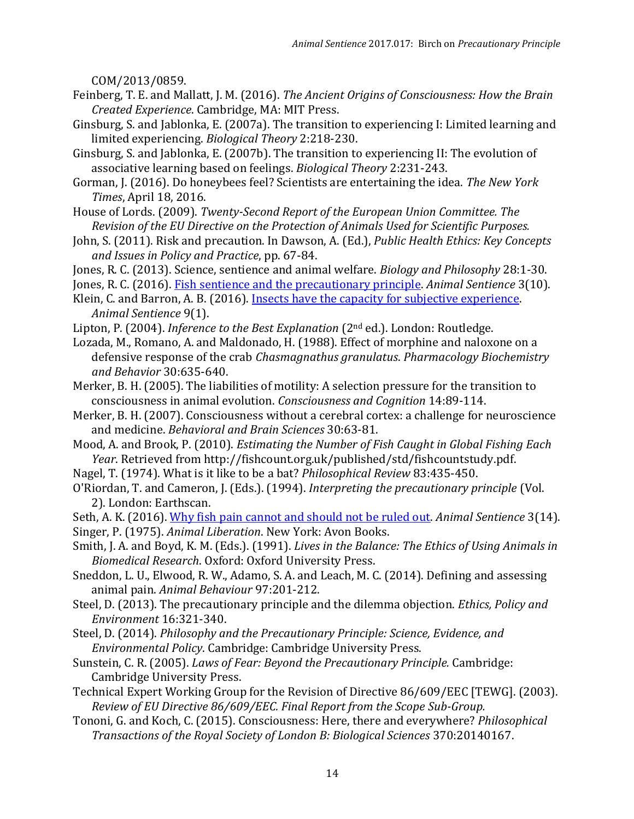COM/2013/0859.

- Feinberg, T. E. and Mallatt, J. M. (2016). *The Ancient Origins of Consciousness: How the Brain Created Experience*. Cambridge, MA: MIT Press.
- Ginsburg, S. and Jablonka, E. (2007a). The transition to experiencing I: Limited learning and limited experiencing. *Biological Theory* 2:218-230.
- Ginsburg, S. and Jablonka, E. (2007b). The transition to experiencing II: The evolution of associative learning based on feelings. *Biological Theory* 2:231-243.
- Gorman, J. (2016). Do honeybees feel? Scientists are entertaining the idea. *The New York Times*, April 18, 2016.
- House of Lords. (2009). *Twenty-Second Report of the European Union Committee. The Revision of the EU Directive on the Protection of Animals Used for Scientific Purposes.*
- John, S. (2011). Risk and precaution. In Dawson, A. (Ed.), *Public Health Ethics: Key Concepts and Issues in Policy and Practice*, pp. 67-84.
- Jones, R. C. (2013). Science, sentience and animal welfare. *Biology and Philosophy* 28:1-30.
- Jones, R. C. (2016). [Fish sentience and the precautionary principle.](http://animalstudiesrepository.org/animsent/vol1/iss3/10/) *Animal Sentience* 3(10).
- Klein, C. and Barron, A. B. (2016). [Insects have the capacity for subjective experience.](http://animalstudiesrepository.org/animsent/vol1/iss9/1/) *Animal Sentience* 9(1).
- Lipton, P. (2004). *Inference to the Best Explanation* (2nd ed.). London: Routledge.
- Lozada, M., Romano, A. and Maldonado, H. (1988). Effect of morphine and naloxone on a defensive response of the crab *Chasmagnathus granulatus*. *Pharmacology Biochemistry and Behavior* 30:635-640.
- Merker, B. H. (2005). The liabilities of motility: A selection pressure for the transition to consciousness in animal evolution. *Consciousness and Cognition* 14:89-114.
- Merker, B. H. (2007). Consciousness without a cerebral cortex: a challenge for neuroscience and medicine. *Behavioral and Brain Sciences* 30:63-81.
- Mood, A. and Brook, P. (2010). *Estimating the Number of Fish Caught in Global Fishing Each Year*. Retrieved from http://fishcount.org.uk/published/std/fishcountstudy.pdf.
- Nagel, T. (1974). What is it like to be a bat? *Philosophical Review* 83:435-450.
- O'Riordan, T. and Cameron, J. (Eds.). (1994). *Interpreting the precautionary principle* (Vol. 2). London: Earthscan.
- Seth, A. K. (2016). [Why fish pain cannot and should not be ruled out.](http://animalstudiesrepository.org/animsent/vol1/iss3/14/) *Animal Sentience* 3(14). Singer, P. (1975). *Animal Liberation*. New York: Avon Books.
- Smith, J. A. and Boyd, K. M. (Eds.). (1991). *Lives in the Balance: The Ethics of Using Animals in Biomedical Research*. Oxford: Oxford University Press.
- Sneddon, L. U., Elwood, R. W., Adamo, S. A. and Leach, M. C. (2014). Defining and assessing animal pain. *Animal Behaviour* 97:201-212.
- Steel, D. (2013). The precautionary principle and the dilemma objection. *Ethics, Policy and Environment* 16:321-340.
- Steel, D. (2014). *Philosophy and the Precautionary Principle: Science, Evidence, and Environmental Policy*. Cambridge: Cambridge University Press.
- Sunstein, C. R. (2005). *Laws of Fear: Beyond the Precautionary Principle.* Cambridge: Cambridge University Press.
- Technical Expert Working Group for the Revision of Directive 86/609/EEC [TEWG]. (2003). *Review of EU Directive 86/609/EEC. Final Report from the Scope Sub-Group.*
- Tononi, G. and Koch, C. (2015). Consciousness: Here, there and everywhere? *Philosophical Transactions of the Royal Society of London B: Biological Sciences* 370:20140167.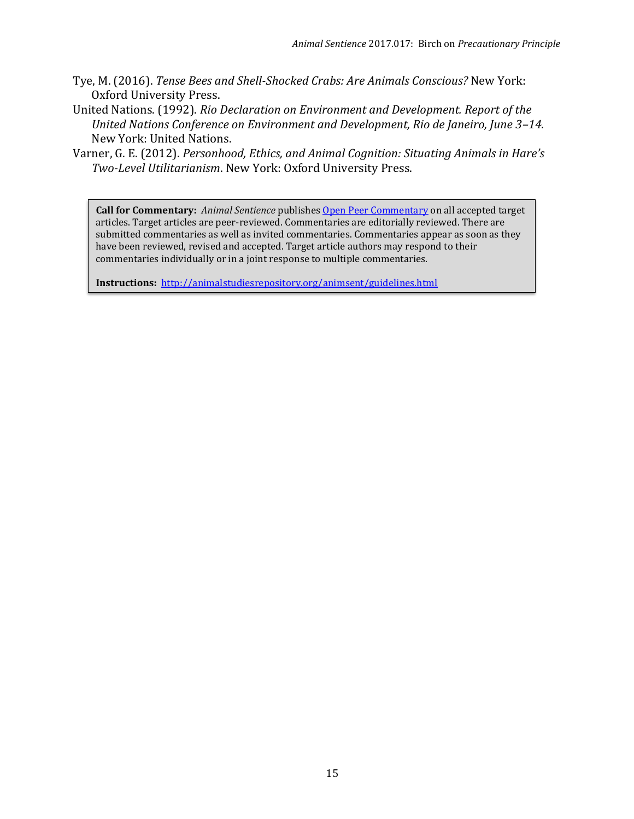- Tye, M. (2016). *Tense Bees and Shell-Shocked Crabs: Are Animals Conscious?* New York: Oxford University Press.
- United Nations. (1992). *Rio Declaration on Environment and Development. Report of the United Nations Conference on Environment and Development, Rio de Janeiro, June 3–14.* New York: United Nations.
- Varner, G. E. (2012). *Personhood, Ethics, and Animal Cognition: Situating Animals in Hare's Two-Level Utilitarianism*. New York: Oxford University Press.

**Call for Commentary:** *Animal Sentience* publishes [Open Peer Commentary](http://users.ecs.soton.ac.uk/harnad/Temp/Kata/bbs.editorial.html) on all accepted target articles. Target articles are peer-reviewed. Commentaries are editorially reviewed. There are submitted commentaries as well as invited commentaries. Commentaries appear as soon as they have been reviewed, revised and accepted. Target article authors may respond to their commentaries individually or in a joint response to multiple commentaries.

**Instructions:** <http://animalstudiesrepository.org/animsent/guidelines.html>